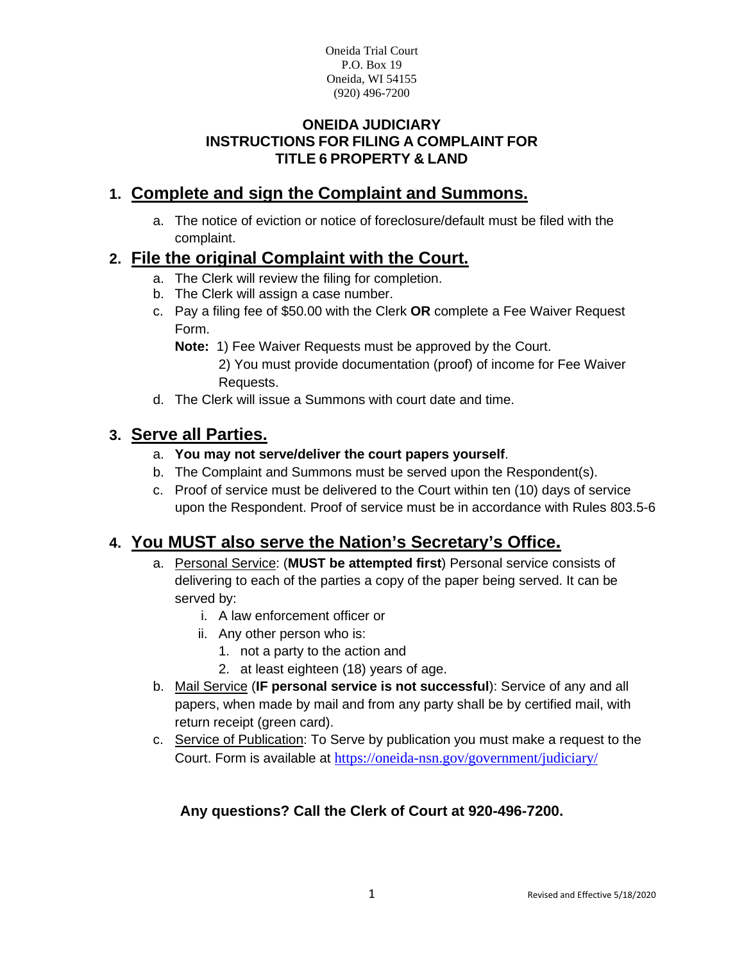## **ONEIDA JUDICIARY INSTRUCTIONS FOR FILING A COMPLAINT FOR TITLE 6 PROPERTY & LAND**

# **1. Complete and sign the Complaint and Summons.**

a. The notice of eviction or notice of foreclosure/default must be filed with the complaint.

# **2. File the original Complaint with the Court.**

- a. The Clerk will review the filing for completion.
- b. The Clerk will assign a case number.
- c. Pay a filing fee of \$50.00 with the Clerk **OR** complete a Fee Waiver Request Form.
	- **Note:** 1) Fee Waiver Requests must be approved by the Court.
		- 2) You must provide documentation (proof) of income for Fee Waiver Requests.
- d. The Clerk will issue a Summons with court date and time.

# **3. Serve all Parties.**

- a. **You may not serve/deliver the court papers yourself**.
- b. The Complaint and Summons must be served upon the Respondent(s).
- c. Proof of service must be delivered to the Court within ten (10) days of service upon the Respondent. Proof of service must be in accordance with Rules 803.5-6

# **4. You MUST also serve the Nation's Secretary's Office.**

- a. Personal Service: (**MUST be attempted first**) Personal service consists of delivering to each of the parties a copy of the paper being served. It can be served by:
	- i. A law enforcement officer or
	- ii. Any other person who is:
		- 1. not a party to the action and
		- 2. at least eighteen (18) years of age.
- b. Mail Service (**IF personal service is not successful**): Service of any and all papers, when made by mail and from any party shall be by certified mail, with return receipt (green card).
- c. Service of Publication: To Serve by publication you must make a request to the Court. Form is available at <https://oneida-nsn.gov/government/judiciary/>

# **Any questions? Call the Clerk of Court at 920-496-7200.**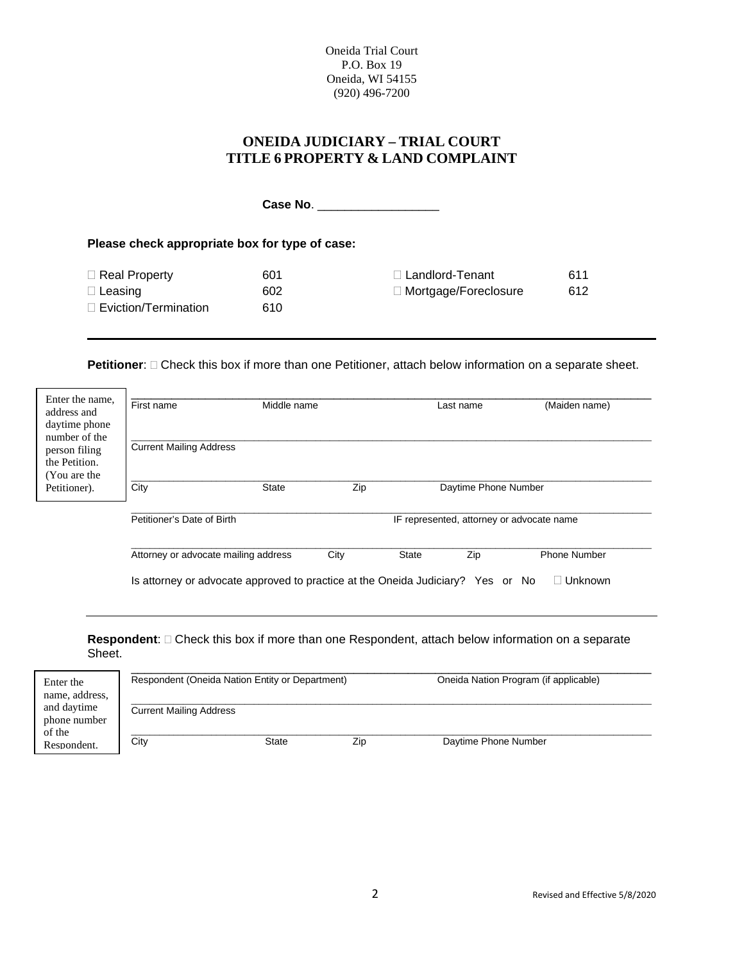## **ONEIDA JUDICIARY – TRIAL COURT TITLE 6 PROPERTY & LAND COMPLAINT**

**Case No**. \_\_\_\_\_\_\_\_\_\_\_\_\_\_\_\_\_\_

**Please check appropriate box for type of case:**

| $\Box$ Real Property        | 601 | $\Box$ Landlord-Tenant      | 611 |
|-----------------------------|-----|-----------------------------|-----|
| $\Box$ Leasing              | 602 | $\Box$ Mortgage/Foreclosure | 612 |
| $\Box$ Eviction/Termination | 610 |                             |     |

**Petitioner**:  $\Box$  Check this box if more than one Petitioner, attach below information on a separate sheet.

| Enter the name,<br>address and<br>daytime phone<br>number of the | First name                                                                      | Middle name  |                                           |              | Last name            | (Maiden name) |
|------------------------------------------------------------------|---------------------------------------------------------------------------------|--------------|-------------------------------------------|--------------|----------------------|---------------|
| person filing<br>the Petition.<br>(You are the                   | <b>Current Mailing Address</b>                                                  |              |                                           |              |                      |               |
| Petitioner).                                                     | City                                                                            | <b>State</b> | Zip                                       |              | Daytime Phone Number |               |
|                                                                  | Petitioner's Date of Birth                                                      |              | IF represented, attorney or advocate name |              |                      |               |
|                                                                  | Attorney or advocate mailing address                                            |              | City                                      | <b>State</b> | Zip                  | Phone Number  |
|                                                                  | Is attorney or advocate approved to practice at the Oneida Judiciary? Yes or No |              |                                           |              |                      | Unknown       |

Respondent:  $\Box$  Check this box if more than one Respondent, attach below information on a separate Sheet.

| Enter the<br>name, address,           | Respondent (Oneida Nation Entity or Department) |       |     | Oneida Nation Program (if applicable) |  |
|---------------------------------------|-------------------------------------------------|-------|-----|---------------------------------------|--|
| and daytime<br>phone number<br>of the | <b>Current Mailing Address</b>                  |       |     |                                       |  |
| Respondent.                           | City                                            | State | Zip | Daytime Phone Number                  |  |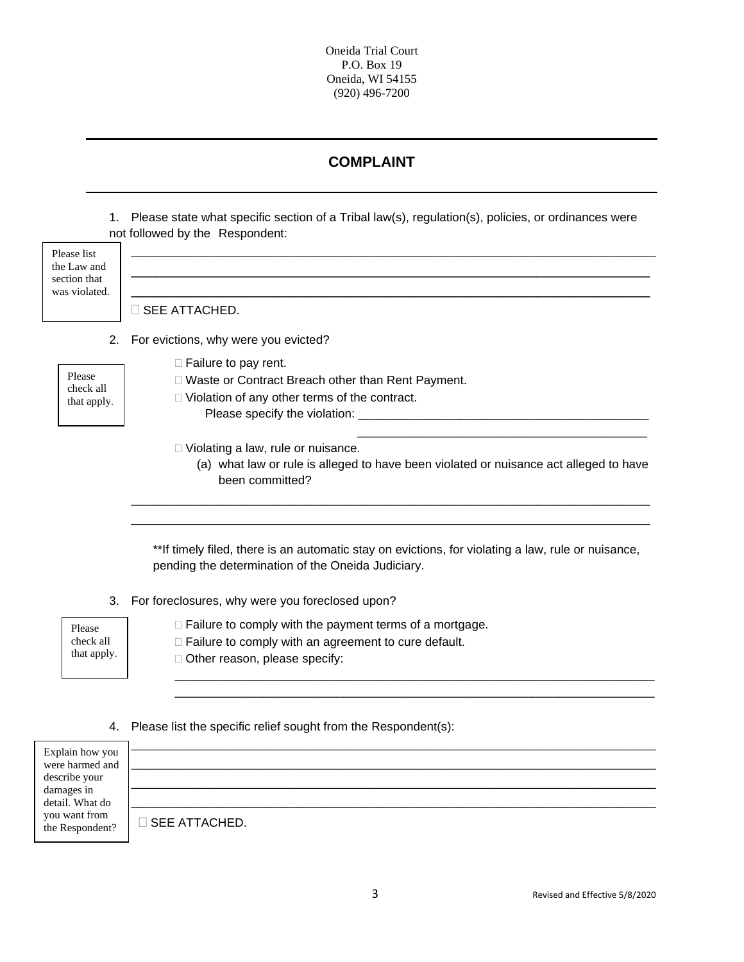## **COMPLAINT**

1. Please state what specific section of a Tribal law(s), regulation(s), policies, or ordinances were not followed by the Respondent:

| Please list<br>the Law and<br>section that<br>was violated. | SEE ATTACHED.                                                                                                                                                               |
|-------------------------------------------------------------|-----------------------------------------------------------------------------------------------------------------------------------------------------------------------------|
|                                                             | 2. For evictions, why were you evicted?                                                                                                                                     |
| Please<br>check all<br>that apply.                          | $\Box$ Failure to pay rent.<br>□ Waste or Contract Breach other than Rent Payment.<br>□ Violation of any other terms of the contract.<br>Please specify the violation: ____ |
|                                                             | $\Box$ Violating a law, rule or nuisance.<br>(a) what law or rule is alleged to have been violated or nuisance act alleged to have<br>been committed?                       |

\*\*If timely filed, there is an automatic stay on evictions, for violating a law, rule or nuisance, pending the determination of the Oneida Judiciary.

\_\_\_\_\_\_\_\_\_\_\_\_\_\_\_\_\_\_\_\_\_\_\_\_\_\_\_\_\_\_\_\_\_\_\_\_\_\_\_\_\_\_\_\_\_\_\_\_\_\_\_\_\_\_\_\_\_\_\_\_\_\_\_\_\_\_\_\_\_\_\_ \_\_\_\_\_\_\_\_\_\_\_\_\_\_\_\_\_\_\_\_\_\_\_\_\_\_\_\_\_\_\_\_\_\_\_\_\_\_\_\_\_\_\_\_\_\_\_\_\_\_\_\_\_\_\_\_\_\_\_\_\_\_\_\_\_\_\_\_\_\_\_

3. For foreclosures, why were you foreclosed upon?

Please check all that apply.  $\Box$  Failure to comply with the payment terms of a mortgage. □ Failure to comply with an agreement to cure default. □ Other reason, please specify:

#### 4. Please list the specific relief sought from the Respondent(s):

| Explain how you<br>were harmed and |                         |
|------------------------------------|-------------------------|
| describe your                      |                         |
| damages in<br>detail. What do      |                         |
| you want from<br>the Respondent?   | $\square$ SEE ATTACHED. |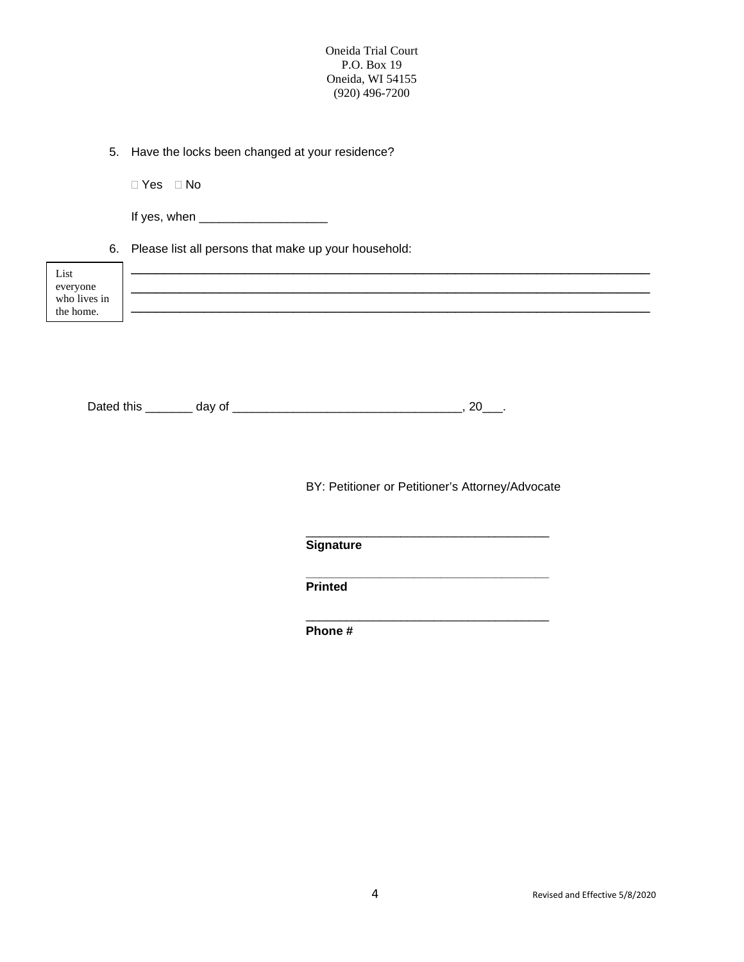5. Have the locks been changed at your residence?

□ Yes □ No

If yes, when \_\_\_\_\_\_\_\_\_\_\_\_\_\_\_\_\_\_\_

6. Please list all persons that make up your household:

| List                     |  |
|--------------------------|--|
|                          |  |
| everyone<br>who lives in |  |
|                          |  |
| the home.                |  |
|                          |  |
|                          |  |

| Dated this | . . |  |
|------------|-----|--|
|------------|-----|--|

BY: Petitioner or Petitioner's Attorney/Advocate

\_\_\_\_\_\_\_\_\_\_\_\_\_\_\_\_\_\_\_\_\_\_\_\_\_\_\_\_\_\_\_\_\_\_\_\_

\_\_\_\_\_\_\_\_\_\_\_\_\_\_\_\_\_\_\_\_\_\_\_\_\_\_\_\_\_\_\_\_\_\_\_\_

**\_\_\_\_\_\_\_\_\_\_\_\_\_\_\_\_\_\_\_\_\_\_\_\_\_\_\_\_\_\_\_\_\_\_\_\_**

**Signature**

**Printed**

**Phone #**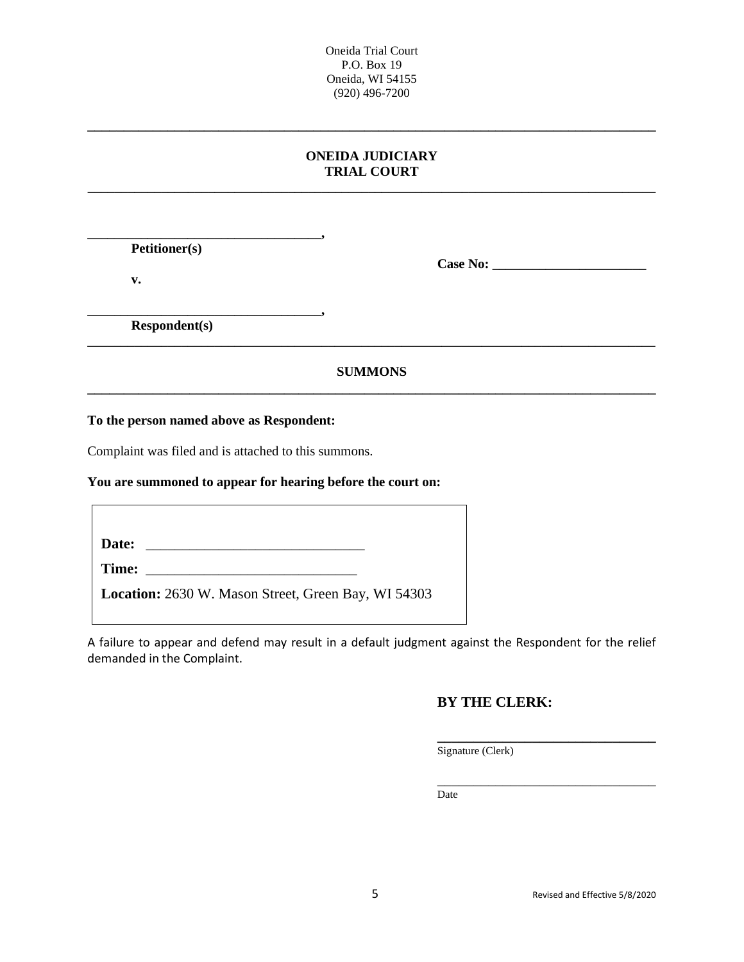### **ONEIDA JUDICIARY TRIAL COURT \_\_\_\_\_\_\_\_\_\_\_\_\_\_\_\_\_\_\_\_\_\_\_\_\_\_\_\_\_\_\_\_\_\_\_\_\_\_\_\_\_\_\_\_\_\_\_\_\_\_\_\_\_\_\_\_\_\_\_\_\_\_\_\_\_\_\_\_\_\_\_\_\_\_\_\_\_\_\_\_\_\_\_\_\_**

**\_\_\_\_\_\_\_\_\_\_\_\_\_\_\_\_\_\_\_\_\_\_\_\_\_\_\_\_\_\_\_\_\_\_\_\_\_\_\_\_\_\_\_\_\_\_\_\_\_\_\_\_\_\_\_\_\_\_\_\_\_\_\_\_\_\_\_\_\_\_\_\_\_\_\_\_\_\_**

**Petitioner(s)**

**v.**

**Case No: \_\_\_\_\_\_\_\_\_\_\_\_\_\_\_\_\_\_\_\_\_\_\_**

**\_\_\_\_\_\_\_\_\_\_\_\_\_\_\_\_\_\_\_\_\_\_\_\_\_\_\_\_\_\_\_\_\_\_\_, Respondent(s)**

## **SUMMONS \_\_\_\_\_\_\_\_\_\_\_\_\_\_\_\_\_\_\_\_\_\_\_\_\_\_\_\_\_\_\_\_\_\_\_\_\_\_\_\_\_\_\_\_\_\_\_\_\_\_\_\_\_\_\_\_\_\_\_\_\_\_\_\_\_\_\_\_\_\_\_\_\_\_\_\_\_\_**

**\_\_\_\_\_\_\_\_\_\_\_\_\_\_\_\_\_\_\_\_\_\_\_\_\_\_\_\_\_\_\_\_\_\_\_\_\_\_\_\_\_\_\_\_\_\_\_\_\_\_\_\_\_\_\_\_\_\_\_\_\_\_\_\_\_\_\_\_\_\_\_\_\_\_\_\_\_\_\_\_\_\_\_\_\_**

**To the person named above as Respondent:**

**\_\_\_\_\_\_\_\_\_\_\_\_\_\_\_\_\_\_\_\_\_\_\_\_\_\_\_\_\_\_\_\_\_\_\_,** 

Complaint was filed and is attached to this summons.

#### **You are summoned to appear for hearing before the court on:**

**Date:** \_\_\_\_\_\_\_\_\_\_\_\_\_\_\_\_\_\_\_\_\_\_\_\_\_\_\_\_\_\_

**Time:** \_\_\_\_\_\_\_\_\_\_\_\_\_\_\_\_\_\_\_\_\_\_\_\_\_\_\_\_\_

**Location:** 2630 W. Mason Street, Green Bay, WI 54303

A failure to appear and defend may result in a default judgment against the Respondent for the relief demanded in the Complaint.

## **BY THE CLERK:**

**\_\_\_\_\_\_\_\_\_\_\_\_\_\_\_\_\_\_\_\_\_\_\_\_\_\_\_\_\_\_** Signature (Clerk)

\_\_\_\_\_\_\_\_\_\_\_\_\_\_\_\_\_\_\_\_\_\_\_\_\_\_\_\_\_\_ Date